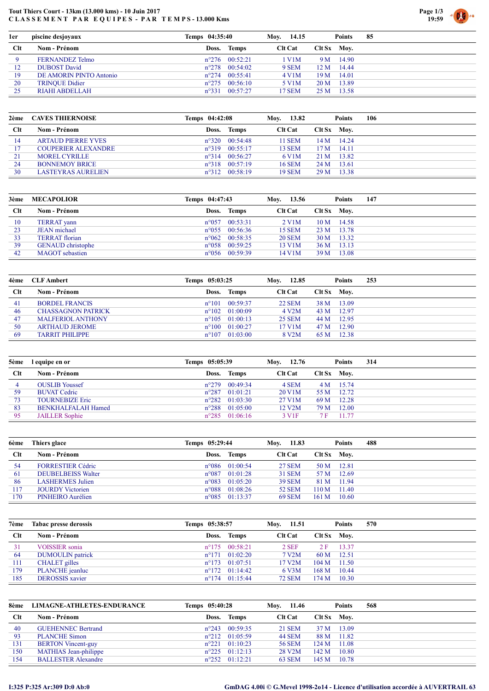## Tout Thiers Court - 13km (13.000 kms) - 10 Juin 2017 CLASSEMENT PAR EQUIPES - PAR TEMPS-13.000 Kms



| 1er | piscine desjoyaux       | Temps 04:35:40          |          | Moy. 14.15     |                 | Points      | 85 |
|-----|-------------------------|-------------------------|----------|----------------|-----------------|-------------|----|
| Clt | Nom - Prénom            | Doss. Temps             |          | <b>Clt Cat</b> |                 | Clt Sx Mov. |    |
|     | FERNANDEZ Telmo         | $n^{\circ}276$ 00:52:21 |          | $1$ V $1$ M    |                 | 9 M 14.90   |    |
| 12  | <b>DUBOST David</b>     | $n^{\circ}278$          | 00:54:02 | 9 SEM          | 12 M            | 14.44       |    |
| 19  | DE AMORIN PINTO Antonio | $n^{\circ}$ 274         | 00:55:41 | 4 V1M          | 19M             | 14.01       |    |
| 20  | <b>TRINOUE Didier</b>   | $n^{\circ}275$          | 00:56:10 | 5 V1M          | 20 <sub>M</sub> | 13.89       |    |
| 25  | RIAHI ABDELLAH          | $n^{\circ}331$          | 00:57:27 | 17 SEM         | 25 M            | 13.58       |    |

| 2ème | <b>CAVES THIERNOISE</b>    | Temps 04:42:08 |                         | Moy. | 13.82          |      | <b>Points</b> | 106 |
|------|----------------------------|----------------|-------------------------|------|----------------|------|---------------|-----|
| Clt  | Nom - Prénom               |                | Doss. Temps             |      | <b>Clt Cat</b> |      | Clt Sx Mov.   |     |
| 14   | <b>ARTAUD PIERRE YVES</b>  |                | $n^{\circ}320$ 00:54:48 |      | 11 SEM         |      | $14 M$ 14.24  |     |
| 17   | <b>COUPERIER ALEXANDRE</b> | $n^{\circ}319$ | 00:55:17                |      | <b>13 SEM</b>  | 17 M | - 14.11       |     |
| 21   | MOREL CYRILLE              | $n^{\circ}314$ | 00:56:27                |      | 6 V1M          | 21 M | 13.82         |     |
| 24   | <b>BONNEMOY BRICE</b>      |                | $n^{\circ}318$ 00:57:19 |      | <b>16 SEM</b>  | 24 M | 13.61         |     |
| 30   | <b>LASTEYRAS AURELIEN</b>  |                | $n^{\circ}312$ 00:58:19 |      | <b>19 SEM</b>  | 29 M | 13.38         |     |

| 3ème | <b>MECAPOLIOR</b>        | Temps 04:47:43 |                         | Moy. 13.56     |               |             | <b>Points</b> | 147 |
|------|--------------------------|----------------|-------------------------|----------------|---------------|-------------|---------------|-----|
| Clt  | Nom - Prénom             |                | Doss. Temps             | <b>Clt Cat</b> |               | Clt Sx Mov. |               |     |
| 10   | <b>TERRAT</b> yann       | $n^{\circ}057$ | 00:53:31                |                | 2 V1M         |             | $10 M$ 14.58  |     |
| 23   | <b>JEAN</b> michael      |                | $n^{\circ}055$ 00:56:36 |                | 15 SEM        |             | 23 M 13.78    |     |
| 33   | <b>TERRAT</b> florian    |                | $n^{\circ}062$ 00:58:35 |                | <b>20 SEM</b> |             | 30 M 13.32    |     |
| 39   | <b>GENAUD</b> christophe |                | $n^{\circ}058$ 00:59:25 |                | 13 V1M        | 36 M        | 13.13         |     |
| 42   | <b>MAGOT</b> sebastien   |                | $n^{\circ}056$ 00:59:39 |                | 14 V1M        | 39 M        | 13.08         |     |

| 4ème | <b>CLF Ambert</b>         | Temps 05:03:25 |                         | Moy. | 12.85              |        | <b>Points</b> | 253 |
|------|---------------------------|----------------|-------------------------|------|--------------------|--------|---------------|-----|
| Clt  | Nom - Prénom              |                | Doss. Temps             |      | <b>Clt Cat</b>     | Clt Sx | Mov.          |     |
| 41   | BORDEL FRANCIS            | $n^{\circ}101$ | 00:59:37                |      | 22 SEM             | 38 M   | 13.09         |     |
| 46   | <b>CHASSAGNON PATRICK</b> |                | $n^{\circ}102$ 01:00:09 |      | $4$ V2M            | 43 M   | 12.97         |     |
| 47   | <b>MALFERIOL ANTHONY</b>  |                | $n^{\circ}105$ 01:00:13 |      | <b>25 SEM</b>      | 44 M   | 12.95         |     |
| 50   | <b>ARTHAUD JEROME</b>     |                | $n^{\circ}100$ 01:00:27 |      | 17 V1M             | 47 M   | 12.90         |     |
| -69  | <b>TARRIT PHILIPPE</b>    |                | $n^{\circ}107$ 01:03:00 |      | 8 V <sub>2</sub> M | 65 M   | 12.38         |     |

| 5ème | l equipe en or            | Temps 05:05:39 |                         | Mov. 12.76          |             | <b>Points</b> | 314 |
|------|---------------------------|----------------|-------------------------|---------------------|-------------|---------------|-----|
| Clt  | Nom - Prénom              |                | Doss. Temps             | <b>Clt Cat</b>      | Clt Sx Mov. |               |     |
| 4    | <b>OUSLIB</b> Youssef     | $n^{\circ}279$ | 00:49:34                | 4 SEM               |             | 4 M 15.74     |     |
| 59   | <b>BUVAT Cedric</b>       | $n^{\circ}287$ | 01:01:21                | 20 V1M              | 55 M        | 12.72         |     |
| 73   | <b>TOURNEBIZE Eric</b>    |                | $n^{\circ}282$ 01:03:30 | 27 V1M              | 69 M        | 12.28         |     |
| -83  | <b>BENKHALFALAH Hamed</b> | $n^{\circ}288$ | 01:05:00                | 12 V <sub>2</sub> M | 79 M        | 12.00         |     |
| 95   | <b>JAILLER</b> Sophie     |                | $n^{\circ}285$ 01:06:16 | 3 V <sub>1F</sub>   | 7 F         | 11.77         |     |

| 6ème | Thiers glace              | Temps 05:29:44 |                         | Mov. 11.83 |                |        | <b>Points</b> | 488 |
|------|---------------------------|----------------|-------------------------|------------|----------------|--------|---------------|-----|
| Clt  | Nom - Prénom              |                | Doss. Temps             |            | <b>Clt Cat</b> | Clt Sx | Mov.          |     |
| -54  | <b>FORRESTIER Cédric</b>  | $n^{\circ}086$ | 01:00:54                |            | 27 SEM         | 50 M   | 12.81         |     |
| -61  | <b>DEUBELBEISS Walter</b> | $n^{\circ}087$ | 01:01:28                |            | 31 SEM         | 57 M   | 12.69         |     |
| -86  | <b>LASHERMES</b> Julien   | $n^{\circ}083$ | 01:05:20                |            | <b>39 SEM</b>  | 81 M   | 11.94         |     |
| 117  | <b>JOURDY</b> Victorien   | $n^{\circ}088$ | 01:08:26                |            | 52 SEM         | 110M   | 11.40         |     |
| 170  | PINHEIRO Aurélien         |                | $n^{\circ}085$ 01:13:37 |            | <b>69 SEM</b>  | 161M   | 10.60         |     |

| 7ème | Tabac presse derossis  | Temps 05:38:57 |                         | Mov. 11.51 |                       |                 | <b>Points</b> | 570 |
|------|------------------------|----------------|-------------------------|------------|-----------------------|-----------------|---------------|-----|
| Clt  | Nom - Prénom           |                | Doss. Temps             |            | <b>Clt Cat</b>        | Clt Sx Mov.     |               |     |
| 31   | <b>VOISSIER</b> sonia  |                | $n^{\circ}175$ 00:58:21 |            | $2$ SEF               | 2 F             | 13.37         |     |
| -64  | DUMOULIN patrick       |                | $n^{\circ}171$ 01:02:20 |            | $7$ V <sub>2</sub> M  |                 | 60 M 12.51    |     |
| 111  | CHALET gilles          |                | $n^{\circ}173$ 01:07:51 |            | $17$ V <sub>2</sub> M | $104 M$ 11.50   |               |     |
| 179  | <b>PLANCHE</b> jeanluc |                | $n^{\circ}172$ 01:14:42 |            | 6 V3M                 | 168M            | 10.44         |     |
| 185  | <b>DEROSSIS</b> xavier |                | $n^{\circ}174$ 01:15:44 |            | <b>72 SEM</b>         | $174 M$ $10.30$ |               |     |

| LIMAGNE-ATHLETES-ENDURANCE   |                |                                                                                                                                                 |                                                                                              | <b>Points</b> | 568                                   |
|------------------------------|----------------|-------------------------------------------------------------------------------------------------------------------------------------------------|----------------------------------------------------------------------------------------------|---------------|---------------------------------------|
| Nom - Prénom                 | Doss.          |                                                                                                                                                 |                                                                                              |               |                                       |
| <b>GUEHENNEC Bertrand</b>    |                |                                                                                                                                                 |                                                                                              |               |                                       |
| PLANCHE Simon                |                |                                                                                                                                                 | 88 M                                                                                         | 11.82         |                                       |
| <b>BERTON</b> Vincent-guy    | $n^{\circ}221$ |                                                                                                                                                 | 124M                                                                                         | 11.08         |                                       |
| <b>MATHIAS</b> Jean-philippe |                |                                                                                                                                                 | 142 M                                                                                        | 10.80         |                                       |
| <b>BALLESTER Alexandre</b>   |                |                                                                                                                                                 |                                                                                              | 10.78         |                                       |
|                              |                | Temps 05:40:28<br>Temps<br>$n^{\circ}243$ 00:59:35<br>$n^{\circ}212$ 01:05:59<br>01:10:23<br>$n^{\circ}225$ 01:12:13<br>$n^{\circ}252$ 01:12:21 | Moy. 11.46<br><b>Clt Cat</b><br>21 SEM<br><b>44 SEM</b><br>56 SEM<br>28 V2M<br><b>63 SEM</b> |               | Clt Sx Mov.<br>13.09<br>37 M<br>145 M |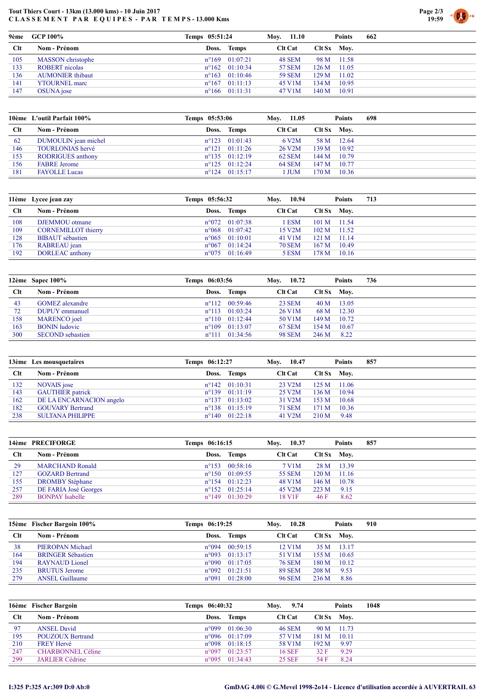## Tout Thiers Court - 13km (13.000 kms) - 10 Juin 2017 CLASSEMENT PAR EQUIPES - PAR TEMPS-13.000 Kms



| 9ème | GCP 100%                | Temps 05:51:24          | Moy. 11.10     | <b>Points</b>    | 662 |
|------|-------------------------|-------------------------|----------------|------------------|-----|
| Clt  | Nom - Prénom            | Doss. Temps             | <b>Clt Cat</b> | $Clt Sx$ Mov.    |     |
| 105  | MASSON christophe       | $n^{\circ}169$ 01:07:21 | 48 SEM         | 98 M 11.58       |     |
| 133  | <b>ROBERT</b> nicolas   | $n^{\circ}162$ 01:10:34 | 57 SEM         | $126 M$ 11.05    |     |
| 136  | <b>AUMONIER</b> thibaut | $n^{\circ}163$ 01:10:46 | <b>59 SEM</b>  | $-11.02$<br>129M |     |
| 141  | <b>YTOURNEL</b> marc    | $n^{\circ}167$ 01:11:13 | 45 V1M         | 10.95<br>134M    |     |
| 147  | OSUNA jose              | $n^{\circ}166$ 01:11:31 | 47 V1M         | 10.91<br>140M    |     |

|     | 10 <sup>e</sup> me L'outil Parfait 100% | Temps 05:53:06 |                         | Mov. | 11.05               |                  | <b>Points</b> | 698 |
|-----|-----------------------------------------|----------------|-------------------------|------|---------------------|------------------|---------------|-----|
| Clt | Nom - Prénom                            |                | Doss. Temps             |      | <b>Clt Cat</b>      |                  | Clt Sx Mov.   |     |
| 62  | DUMOULIN jean michel                    |                | $n^{\circ}123$ 01:01:43 |      | 6 V2M               |                  | 58 M 12.64    |     |
| 146 | <b>TOURLONIAS</b> hervé                 |                | $n^{\circ}121$ 01:11:26 |      | 26 V <sub>2</sub> M | 139M             | 10.92         |     |
| 153 | <b>RODRIGUES</b> anthony                |                | $n^{\circ}135$ 01:12:19 |      | <b>62 SEM</b>       | 144 M            | 10.79         |     |
| 156 | <b>FABRE</b> Jerome                     |                | $n^{\circ}125$ 01:12:24 |      | <b>64 SEM</b>       | 147 <sub>M</sub> | 10.77         |     |
| 181 | <b>FAYOLLE Lucas</b>                    |                | $n^{\circ}124$ 01:15:17 |      | l JUM               | 170 M            | 10.36         |     |

|     | 11ème Lycee jean zay       | Temps 05:56:32 |                         | 10.94<br>Moy.       |       | Points         | 713 |
|-----|----------------------------|----------------|-------------------------|---------------------|-------|----------------|-----|
| Clt | Nom - Prénom               |                | Doss. Temps             | <b>Clt Cat</b>      |       | $C$ lt Sx Mov. |     |
| 108 | DJEMMOU otmane             |                | $n^{\circ}072$ 01:07:38 | 1 ESM               |       | $101 M$ 11.54  |     |
| 109 | <b>CORNEMILLOT</b> thierry |                | $n^{\circ}068$ 01:07:42 | 15 V <sub>2</sub> M |       | $102 M$ 11.52  |     |
| 128 | <b>BIBAUT</b> sébastien    |                | $n^{\circ}065$ 01:10:01 | 41 V1M              | 121 M | $-11.14$       |     |
| 176 | RABREAU jean               |                | $n^{\circ}067$ 01:14:24 | <b>70 SEM</b>       | 167M  | 10.49          |     |
| 192 | DORLEAC anthony            |                | $n^{\circ}075$ 01:16:49 | 5 ESM               | 178 M | $-10.16$       |     |

|     | 12ème Sapec $100\%$     | Temps 06:03:56 |                               | Moy. | 10.72          |               | <b>Points</b> | 736 |
|-----|-------------------------|----------------|-------------------------------|------|----------------|---------------|---------------|-----|
| Clt | Nom - Prénom            |                | Doss. Temps                   |      | <b>Clt Cat</b> | $Clt Sx$ Moy. |               |     |
| 43  | <b>GOMEZ</b> alexandre  |                | $n^{\circ}112$ 00:59:46       |      | 23 SEM         |               | $40 M$ 13.05  |     |
| 72  | DUPUY emmanuel          |                | $n^{\circ}113$ 01:03:24       |      | 26 V1M         | 68 M          | 12.30         |     |
| 158 | <b>MARENCO</b> joel     |                | $n^{\circ}110$ 01:12:44       |      | 50 V1M         | 149 M         | 10.72         |     |
| 163 | <b>BONIN</b> ludovic    |                | $n^{\circ}109$ 01:13:07       |      | 67 SEM         | 154 M         | 10.67         |     |
| 300 | <b>SECOND</b> sebastien |                | $n^{\circ}111 \quad 01:34:56$ |      | <b>98 SEM</b>  | 246 M         | 8.22          |     |

|     | 13ème Les mousquetaires  | Temps 06:12:27 |                         | Moy. | 10.47               |       | <b>Points</b> | 857 |
|-----|--------------------------|----------------|-------------------------|------|---------------------|-------|---------------|-----|
| Clt | Nom - Prénom             | Doss. Temps    |                         |      | <b>Clt Cat</b>      |       | Clt Sx Mov.   |     |
| 132 | NOVAIS jose              |                | $n^{\circ}142$ 01:10:31 |      | 23 V2M              | 125 M | 11.06         |     |
| 143 | <b>GAUTHIER</b> patrick  |                | $n^{\circ}139$ 01:11:19 |      | 25 V <sub>2</sub> M | 136 M | 10.94         |     |
| 162 | DE LA ENCARNACION angelo |                | $n^{\circ}137$ 01:13:02 |      | 31 V <sub>2</sub> M | 153 M | 10.68         |     |
| 182 | <b>GOUVARY Bertrand</b>  |                | $n^{\circ}138$ 01:15:19 |      | <b>71 SEM</b>       | 171 M | 10.36         |     |
| 238 | <b>SULTANA PHILIPPE</b>  |                | $n^{\circ}140$ 01:22:18 |      | 41 V <sub>2</sub> M | 210 M | 9.48          |     |

|     | 14ème PRECIFORGE       | Temps 06:16:15 |                         | Mov. 10.37 |                     |             | <b>Points</b> | 857 |
|-----|------------------------|----------------|-------------------------|------------|---------------------|-------------|---------------|-----|
| Clt | Nom - Prénom           |                | Doss. Temps             |            | <b>Clt Cat</b>      | Clt Sx Mov. |               |     |
| 29  | <b>MARCHAND Ronald</b> |                | $n^{\circ}153$ 00:58:16 |            | 7 V1M               |             | 28 M 13.39    |     |
| 127 | <b>GOZARD</b> Bertrand |                | $n^{\circ}150$ 01:09:55 |            | 55 SEM              |             | $120 M$ 11.16 |     |
| 155 | <b>DROMBY</b> Stéphane |                | $n^{\circ}154$ 01:12:23 |            | 48 V1M              | 146 M       | 10.78         |     |
| 257 | DE FARIA José Georges  |                | $n^{\circ}152$ 01:25:14 |            | 45 V <sub>2</sub> M | 223 M       | 9.15          |     |
| 289 | <b>BONPAY Isabelle</b> |                | $n^{\circ}149$ 01:30:29 |            | 18 V <sub>1F</sub>  | 46 F        | 8.62          |     |

|     | 15ème Fischer Bargoin 100% | Temps 06:19:25 |                         | Mov.           | 10.28         |       | <b>Points</b> | 910 |
|-----|----------------------------|----------------|-------------------------|----------------|---------------|-------|---------------|-----|
| Clt | Nom - Prénom               |                | Doss. Temps             | <b>Clt Cat</b> |               |       | $Clt Sx$ Mov. |     |
| 38  | PIEROPAN Michael           | $n^{\circ}094$ | 00:59:15                |                | 12 V1M        |       | 35 M 13.17    |     |
| 164 | <b>BRINGER Sébastien</b>   |                | $n^{\circ}093$ 01:13:17 |                | 51 V1M        | 155M  | 10.65         |     |
| 194 | <b>RAYNAUD</b> Lionel      |                | $n^{\circ}090$ 01:17:05 |                | <b>76 SEM</b> | 180 M | 10.12         |     |
| 235 | <b>BRUTUS Jerome</b>       |                | $n^{\circ}092$ 01:21:51 |                | <b>89 SEM</b> | 208 M | 9.53          |     |
| 279 | <b>ANSEL Guillaume</b>     |                | $n^{\circ}091$ 01:28:00 |                | <b>96 SEM</b> | 236 M | 8.86          |     |

|     | 16ème Fischer Bargoin   | Temps 06:40:32 |                         | Mov.           | 9.74 |                | Points | 1048 |  |
|-----|-------------------------|----------------|-------------------------|----------------|------|----------------|--------|------|--|
| Clt | Nom - Prénom            | Doss.          | Temps                   | <b>Clt Cat</b> |      | $C$ lt Sx Mov. |        |      |  |
| -97 | <b>ANSEL</b> David      |                | $n^{\circ}099001:06:30$ | 46 SEM         |      | $90 M$ 11.73   |        |      |  |
| 195 | <b>POUZOUX Bertrand</b> |                | $n^{\circ}096$ 01:17:09 | 57 V1M         |      | 181 M          | 10.11  |      |  |
| 210 | <b>FREY Hervé</b>       | $n^{\circ}098$ | 01:18:15                | 58 V1M         |      | 192M           | 9.97   |      |  |
| 247 | CHARBONNEL Céline       | $n^{\circ}097$ | 01:23:57                | <b>16 SEF</b>  |      | 32 F           | 9.29   |      |  |
| 299 | <b>JARLIER Cédrine</b>  |                | $n^{\circ}095$ 01:34:43 | 25 SEF         |      | 54 F           | 8.24   |      |  |